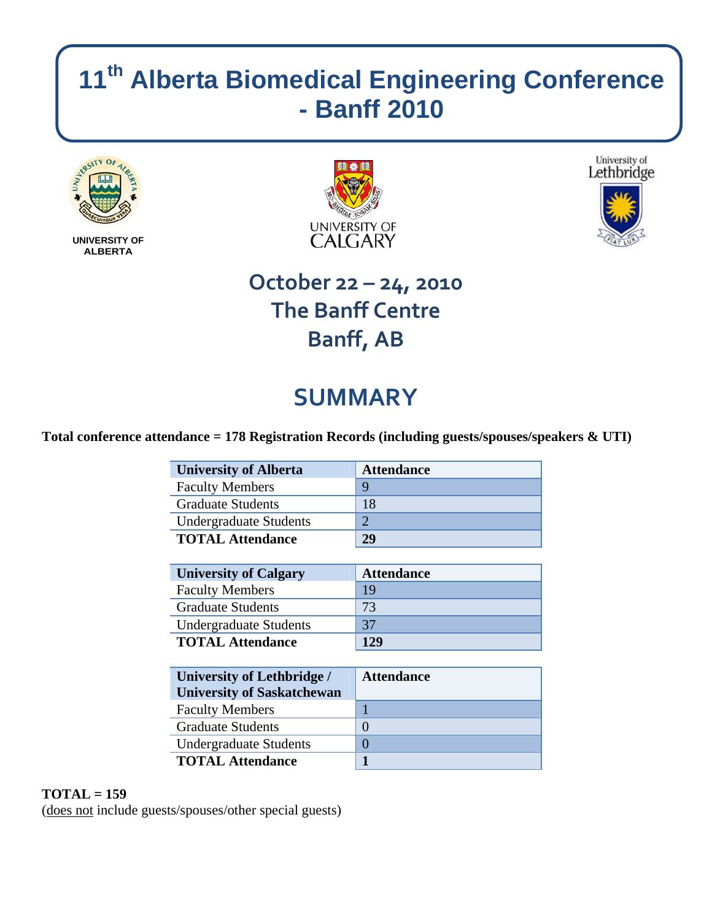# **11th Alberta Biomedical Engineering Conference - Banff 2010**



**UNIVERSITY OF ALBERTA** 





## **October 22 – 24, 2010 The Banff Centre Banff, AB**

# **SUMMARY**

### **Total conference attendance = 178 Registration Records (including guests/spouses/speakers & UTI)**

| <b>University of Alberta</b>                                                                                                                                                                                                                                                                                                       | <b>Attendance</b> |
|------------------------------------------------------------------------------------------------------------------------------------------------------------------------------------------------------------------------------------------------------------------------------------------------------------------------------------|-------------------|
| <b>Faculty Members</b>                                                                                                                                                                                                                                                                                                             | Q                 |
| <b>Graduate Students</b>                                                                                                                                                                                                                                                                                                           | 18                |
| <b>Undergraduate Students</b>                                                                                                                                                                                                                                                                                                      | ာ                 |
| <b>TOTAL Attendance</b>                                                                                                                                                                                                                                                                                                            | 29                |
|                                                                                                                                                                                                                                                                                                                                    |                   |
| $\mathbf{A}$ $\mathbf{A}$ $\mathbf{A}$ $\mathbf{A}$ $\mathbf{A}$ $\mathbf{A}$ $\mathbf{A}$ $\mathbf{A}$ $\mathbf{A}$ $\mathbf{A}$ $\mathbf{A}$ $\mathbf{A}$ $\mathbf{A}$ $\mathbf{A}$ $\mathbf{A}$ $\mathbf{A}$ $\mathbf{A}$ $\mathbf{A}$ $\mathbf{A}$ $\mathbf{A}$ $\mathbf{A}$ $\mathbf{A}$ $\mathbf{A}$ $\mathbf{A}$ $\mathbf{$ | $\blacksquare$    |

| <b>University of Calgary</b>  | <b>Attendance</b> |
|-------------------------------|-------------------|
| <b>Faculty Members</b>        | 19                |
| <b>Graduate Students</b>      | 73                |
| <b>Undergraduate Students</b> | 37                |
| <b>TOTAL Attendance</b>       | 129               |

| <b>University of Lethbridge /</b><br><b>University of Saskatchewan</b> | <b>Attendance</b> |
|------------------------------------------------------------------------|-------------------|
| <b>Faculty Members</b>                                                 |                   |
| <b>Graduate Students</b>                                               | $\Omega$          |
| <b>Undergraduate Students</b>                                          |                   |
| <b>TOTAL Attendance</b>                                                |                   |

### **TOTAL = 159**

(does not include guests/spouses/other special guests)